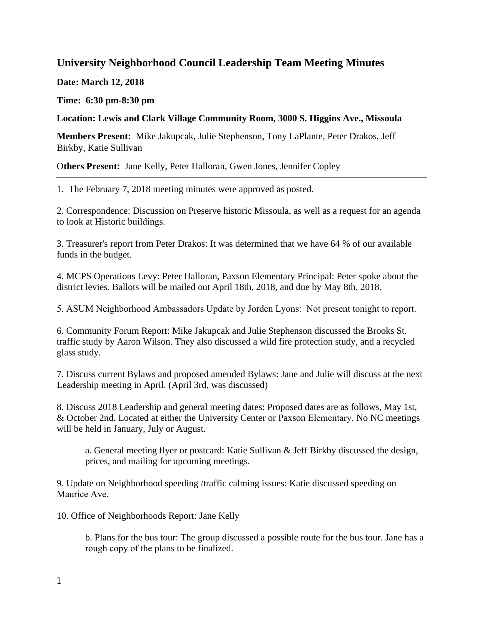## **University Neighborhood Council Leadership Team Meeting Minutes**

**Date: March 12, 2018**

**Time: 6:30 pm-8:30 pm**

## **Location: Lewis and Clark Village Community Room, 3000 S. Higgins Ave., Missoula**

**Members Present:** Mike Jakupcak, Julie Stephenson, Tony LaPlante, Peter Drakos, Jeff Birkby, Katie Sullivan

O**thers Present:** Jane Kelly, Peter Halloran, Gwen Jones, Jennifer Copley

1. The February 7, 2018 meeting minutes were approved as posted.

2. Correspondence: Discussion on Preserve historic Missoula, as well as a request for an agenda to look at Historic buildings.

3. Treasurer's report from Peter Drakos: It was determined that we have 64 % of our available funds in the budget.

4. MCPS Operations Levy: Peter Halloran, Paxson Elementary Principal: Peter spoke about the district levies. Ballots will be mailed out April 18th, 2018, and due by May 8th, 2018.

5. ASUM Neighborhood Ambassadors Update by Jorden Lyons: Not present tonight to report.

6. Community Forum Report: Mike Jakupcak and Julie Stephenson discussed the Brooks St. traffic study by Aaron Wilson. They also discussed a wild fire protection study, and a recycled glass study.

7. Discuss current Bylaws and proposed amended Bylaws: Jane and Julie will discuss at the next Leadership meeting in April. (April 3rd, was discussed)

8. Discuss 2018 Leadership and general meeting dates: Proposed dates are as follows, May 1st, & October 2nd. Located at either the University Center or Paxson Elementary. No NC meetings will be held in January, July or August.

a. General meeting flyer or postcard: Katie Sullivan & Jeff Birkby discussed the design, prices, and mailing for upcoming meetings.

9. Update on Neighborhood speeding /traffic calming issues: Katie discussed speeding on Maurice Ave.

10. Office of Neighborhoods Report: Jane Kelly

b. Plans for the bus tour: The group discussed a possible route for the bus tour. Jane has a rough copy of the plans to be finalized.